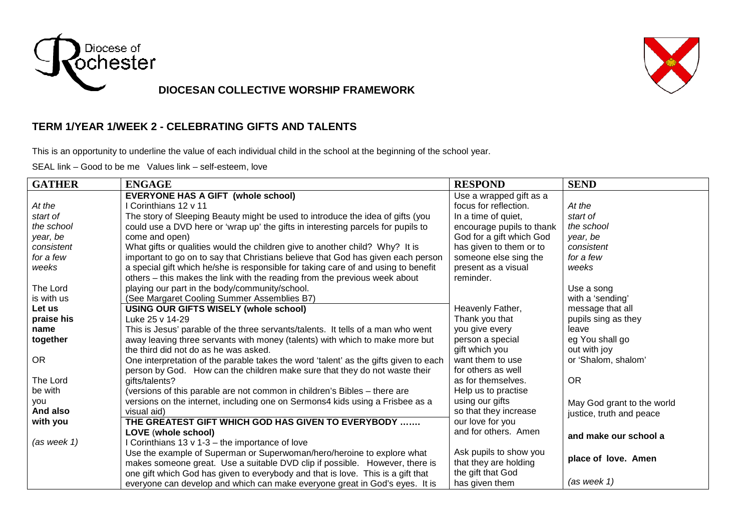

## **DIOCESAN COLLECTIVE WORSHIP FRAMEWORK**

## **TERM 1/YEAR 1/WEEK 2 - CELEBRATING GIFTS AND TALENTS**

This is an opportunity to underline the value of each individual child in the school at the beginning of the school year.

SEAL link – Good to be me Values link – self-esteem, love

| <b>GATHER</b>   | <b>ENGAGE</b>                                                                        | <b>RESPOND</b>            | <b>SEND</b>                |
|-----------------|--------------------------------------------------------------------------------------|---------------------------|----------------------------|
|                 | <b>EVERYONE HAS A GIFT (whole school)</b>                                            | Use a wrapped gift as a   |                            |
| At the          | I Corinthians 12 v 11                                                                | focus for reflection.     | At the                     |
| start of        | The story of Sleeping Beauty might be used to introduce the idea of gifts (you       | In a time of quiet,       | start of                   |
| the school      | could use a DVD here or 'wrap up' the gifts in interesting parcels for pupils to     | encourage pupils to thank | the school                 |
| year, be        | come and open)                                                                       | God for a gift which God  | year, be                   |
| consistent      | What gifts or qualities would the children give to another child? Why? It is         | has given to them or to   | consistent                 |
| for a few       | important to go on to say that Christians believe that God has given each person     | someone else sing the     | for a few                  |
| weeks           | a special gift which he/she is responsible for taking care of and using to benefit   | present as a visual       | weeks                      |
|                 | others – this makes the link with the reading from the previous week about           | reminder.                 |                            |
| The Lord        | playing our part in the body/community/school.                                       |                           | Use a song                 |
| is with us      | (See Margaret Cooling Summer Assemblies B7)                                          |                           | with a 'sending'           |
| Let us          | USING OUR GIFTS WISELY (whole school)                                                | Heavenly Father,          | message that all           |
| praise his      | Luke 25 v 14-29                                                                      | Thank you that            | pupils sing as they        |
| name            | This is Jesus' parable of the three servants/talents. It tells of a man who went     | you give every            | leave                      |
| together        | away leaving three servants with money (talents) with which to make more but         | person a special          | eg You shall go            |
|                 | the third did not do as he was asked.                                                | gift which you            | out with joy               |
| <b>OR</b>       | One interpretation of the parable takes the word 'talent' as the gifts given to each | want them to use          | or 'Shalom, shalom'        |
|                 | person by God. How can the children make sure that they do not waste their           | for others as well        |                            |
| The Lord        | gifts/talents?                                                                       | as for themselves.        | <b>OR</b>                  |
| be with         | (versions of this parable are not common in children's Bibles - there are            | Help us to practise       |                            |
| you             | versions on the internet, including one on Sermons4 kids using a Frisbee as a        | using our gifts           | May God grant to the world |
| And also        | visual aid)                                                                          | so that they increase     | justice, truth and peace   |
| with you        | THE GREATEST GIFT WHICH GOD HAS GIVEN TO EVERYBODY                                   | our love for you          |                            |
|                 | LOVE (whole school)                                                                  | and for others. Amen      | and make our school a      |
| $(as$ week $1)$ | I Corinthians 13 v 1-3 - the importance of love                                      |                           |                            |
|                 | Use the example of Superman or Superwoman/hero/heroine to explore what               | Ask pupils to show you    | place of love. Amen        |
|                 | makes someone great. Use a suitable DVD clip if possible. However, there is          | that they are holding     |                            |
|                 | one gift which God has given to everybody and that is love. This is a gift that      | the gift that God         |                            |
|                 | everyone can develop and which can make everyone great in God's eyes. It is          | has given them            | $(as$ week 1)              |